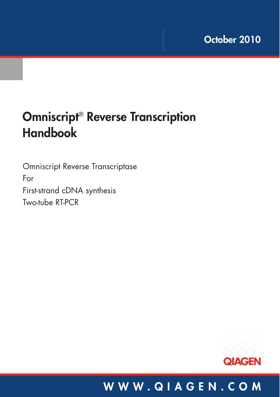# **Omniscript**® **Reverse Transcription Handbook**

Omniscript Reverse Transcriptase For First-strand cDNA synthesis Two-tube RT-PCR



### **WWW.QIAGEN.COM**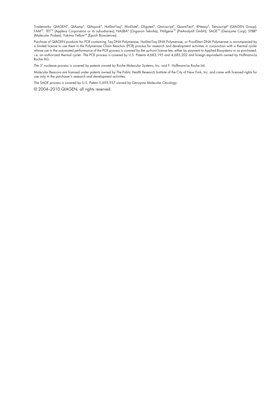Irademarks: GJAGEN", GJAamp", GJAquick", HotStarIaq", MinElute", Oligotex", Omniscript", GuantiTect", KNeasy", Sensiscript" (GJAGEN Group);<br>FAM™, TET™ (Applera Corporation or its subsidiaries); NASBA® (Organon Teknika); PA

Purchase of QIAGEN products for PCR containing Taq DNA Polymerase, HotStarTaq DNA Polymerase, or ProofStart DNA Polymerase is accompanied by a limited license to use them in the Polymerase Chain Reaction (PCR) process for research and development activities in conjunction with a thermal cycler whose use in the automated performance of the PCR process is covered by the up-front license fee, either by payment to Applied Biosystems or as purchased, i.e. an authorized thermal cycler. The PCR process is covered by U.S. Patents 4,683,195 and 4,683,202 and foreign equivalents owned by Hoffmann-La Roche AG.

The 5' nuclease process is covered by patents owned by Roche Molecular Systems, Inc. and F. Hoffmann-La Roche Ltd.

Molecular Beacons are licensed under patents owned by The Public Health Research Institute of the City of New York, Inc. and come with licensed rights for use only in the purchaser's research and development activities.

The SAGE process is covered by U.S. Patent 5,695,937 owned by Genzyme Molecular Oncology.

© 2004–2010 QIAGEN, all rights reserved.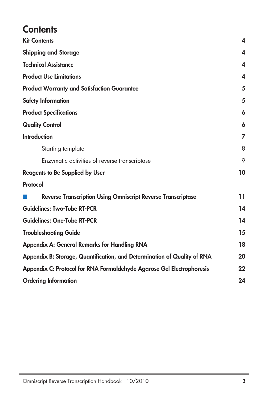### **Contents**

| <b>Kit Contents</b>                                                      | 4  |
|--------------------------------------------------------------------------|----|
| <b>Shipping and Storage</b>                                              | 4  |
| <b>Technical Assistance</b>                                              | 4  |
| <b>Product Use Limitations</b>                                           | 4  |
| <b>Product Warranty and Satisfaction Guarantee</b>                       | 5  |
| Safety Information                                                       | 5  |
| <b>Product Specifications</b>                                            | 6  |
| <b>Quality Control</b>                                                   | 6  |
| <b>Introduction</b>                                                      | 7  |
| Starting template                                                        | 8  |
| Enzymatic activities of reverse transcriptase                            | 9  |
| <b>Reagents to Be Supplied by User</b>                                   | 10 |
| Protocol                                                                 |    |
| <b>Reverse Transcription Using Omniscript Reverse Transcriptase</b>      | 11 |
| <b>Guidelines: Two-Tube RT-PCR</b>                                       | 14 |
| <b>Guidelines: One-Tube RT-PCR</b>                                       | 14 |
| <b>Troubleshooting Guide</b>                                             | 15 |
| <b>Appendix A: General Remarks for Handling RNA</b>                      | 18 |
| Appendix B: Storage, Quantification, and Determination of Quality of RNA | 20 |
| Appendix C: Protocol for RNA Formaldehyde Agarose Gel Electrophoresis    | 22 |
| <b>Ordering Information</b>                                              | 24 |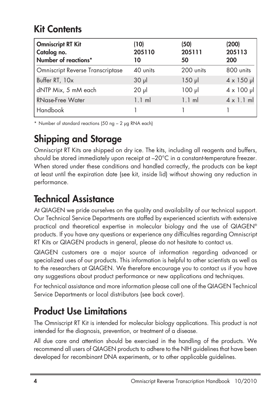### **Kit Contents**

| <b>Omniscript RT Kit</b><br>Catalog no.<br>Number of reactions* | (10)<br>205110<br>10 | (50)<br>205111<br>50 | (200)<br>205113<br>200 |
|-----------------------------------------------------------------|----------------------|----------------------|------------------------|
| <b>Omniscript Reverse Transcriptase</b>                         | 40 units             | 200 units            | 800 units              |
| Buffer RT, 10x                                                  | $30 \mu$             | $150$ pl             | $4 \times 150$ µ       |
| dNTP Mix, 5 mM each                                             | $20 \mu$             | $100$ $\mu$          | $4 \times 100 \mu$     |
| <b>RNase-Free Water</b>                                         | $1.1$ m              | $1.1$ ml             | $4 \times 1.1$ ml      |
| <b>Handbook</b>                                                 |                      |                      |                        |

\* Number of standard reactions (50 ng – 2 µg RNA each)

### **Shipping and Storage**

Omniscript RT Kits are shipped on dry ice. The kits, including all reagents and buffers, should be stored immediately upon receipt at –20°C in a constant-temperature freezer. When stored under these conditions and handled correctly, the products can be kept at least until the expiration date (see kit, inside lid) without showing any reduction in performance.

### **Technical Assistance**

At QIAGEN we pride ourselves on the quality and availability of our technical support. Our Technical Service Departments are staffed by experienced scientists with extensive practical and theoretical expertise in molecular biology and the use of QIAGEN® products. If you have any questions or experience any difficulties regarding Omniscript RT Kits or QIAGEN products in general, please do not hesitate to contact us.

QIAGEN customers are a major source of information regarding advanced or specialized uses of our products. This information is helpful to other scientists as well as to the researchers at QIAGEN. We therefore encourage you to contact us if you have any suggestions about product performance or new applications and techniques.

For technical assistance and more information please call one of the QIAGEN Technical Service Departments or local distributors (see back cover).

### **Product Use Limitations**

The Omniscript RT Kit is intended for molecular biology applications. This product is not intended for the diagnosis, prevention, or treatment of a disease.

All due care and attention should be exercised in the handling of the products. We recommend all users of QIAGEN products to adhere to the NIH guidelines that have been developed for recombinant DNA experiments, or to other applicable guidelines.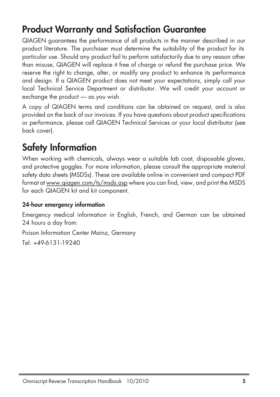### **Product Warranty and Satisfaction Guarantee**

QIAGEN guarantees the performance of all products in the manner described in our product literature. The purchaser must determine the suitability of the product for its particular use. Should any product fail to perform satisfactorily due to any reason other than misuse, QIAGEN will replace it free of charge or refund the purchase price. We reserve the right to change, alter, or modify any product to enhance its performance and design. If a QIAGEN product does not meet your expectations, simply call your local Technical Service Department or distributor. We will credit your account or exchange the product — as you wish.

A copy of QIAGEN terms and conditions can be obtained on request, and is also provided on the back of our invoices. If you have questions about product specifications or performance, please call QIAGEN Technical Services or your local distributor (see back cover).

### **Safety Information**

When working with chemicals, always wear a suitable lab coat, disposable gloves, and protective goggles. For more information, please consult the appropriate material safety data sheets (MSDSs). These are available online in convenient and compact PDF format at www.qiagen.com/ts/msds.asp where you can find, view, and print the MSDS for each QIAGEN kit and kit component.

#### **24-hour emergency information**

Emergency medical information in English, French, and German can be obtained 24 hours a day from:

Poison Information Center Mainz, Germany

Tel: +49-6131-19240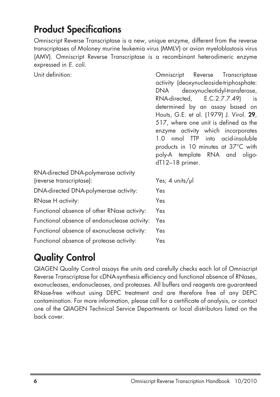### **Product Specifications**

Omniscript Reverse Transcriptase is a new, unique enzyme, different from the reverse transcriptases of Moloney murine leukemia virus (MMLV) or avian myeloblastosis virus (AMV). Omniscript Reverse Transcriptase is a recombinant heterodimeric enzyme expressed in E. coli.

Unit definition: Omniscript Reverse Transcriptase

|                                                                  | activity (deoxynucleoside-triphosphate:<br>deoxynucleotidyl-transferase,<br>DNA<br>RNA-directed, E.C.2.7.7.49)<br>is<br>determined by an assay based on<br>Houts, G.E. et al. (1979) J. Virol. 29,<br>517, where one unit is defined as the<br>enzyme activity which incorporates<br>1.0 nmol TTP into acid-insoluble |
|------------------------------------------------------------------|-----------------------------------------------------------------------------------------------------------------------------------------------------------------------------------------------------------------------------------------------------------------------------------------------------------------------|
|                                                                  | products in 10 minutes at 37°C with<br>poly-A template RNA and oligo-<br>$dT12-18$ primer.                                                                                                                                                                                                                            |
| RNA-directed DNA-polymerase activity<br>(reverse transcriptase): | Yes; $4$ units/ $\mu$ l                                                                                                                                                                                                                                                                                               |
| DNA-directed DNA-polymerase activity:                            | Yes                                                                                                                                                                                                                                                                                                                   |
| RNase H activity:                                                | Yes                                                                                                                                                                                                                                                                                                                   |
| Functional absence of other RNase activity:                      | Yes                                                                                                                                                                                                                                                                                                                   |
| Functional absence of endonuclease activity:                     | Yes                                                                                                                                                                                                                                                                                                                   |
| Functional absence of exonuclease activity:                      | Yes                                                                                                                                                                                                                                                                                                                   |
| Functional absence of protease activity:                         | Yes                                                                                                                                                                                                                                                                                                                   |

### **Quality Control**

QIAGEN Quality Control assays the units and carefully checks each lot of Omniscript Reverse Transcriptase for cDNA-synthesis efficiency and functional absence of RNases, exonucleases, endonucleases, and proteases. All buffers and reagents are guaranteed RNase-free without using DEPC treatment and are therefore free of any DEPC contamination. For more information, please call for a certificate of analysis, or contact one of the QIAGEN Technical Service Departments or local distributors listed on the back cover.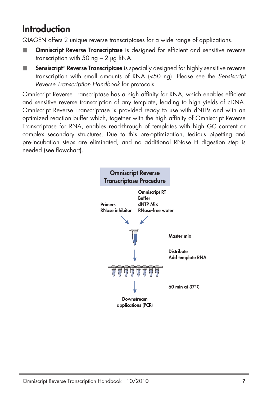### **Introduction**

QIAGEN offers 2 unique reverse transcriptases for a wide range of applications.

- **Omniscript Reverse Transcriptase** is designed for efficient and sensitive reverse transcription with 50 ng  $-$  2 µg RNA.
- m. **Sensiscript**® **Reverse Transcriptase** is specially designed for highly sensitive reverse transcription with small amounts of RNA (<50 ng). Please see the *Sensiscript Reverse Transcription Handbook* for protocols.

Omniscript Reverse Transcriptase has a high affinity for RNA, which enables efficient and sensitive reverse transcription of any template, leading to high yields of cDNA. Omniscript Reverse Transcriptase is provided ready to use with dNTPs and with an optimized reaction buffer which, together with the high affinity of Omniscript Reverse Transcriptase for RNA, enables read-through of templates with high GC content or complex secondary structures. Due to this pre-optimization, tedious pipetting and pre-incubation steps are eliminated, and no additional RNase H digestion step is needed (see flowchart).

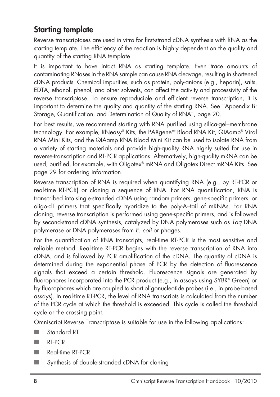### **Starting template**

Reverse transcriptases are used in vitro for first-strand cDNA synthesis with RNA as the starting template. The efficiency of the reaction is highly dependent on the quality and quantity of the starting RNA template.

It is important to have intact RNA as starting template. Even trace amounts of contaminating RNases in the RNA sample can cause RNA cleavage, resulting in shortened cDNA products. Chemical impurities, such as protein, poly-anions (e.g., heparin), salts, EDTA, ethanol, phenol, and other solvents, can affect the activity and processivity of the reverse transcriptase. To ensure reproducible and efficient reverse transcription, it is important to determine the quality and quantity of the starting RNA. See "Appendix B: Storage, Quantification, and Determination of Quality of RNA", page 20.

For best results, we recommend starting with RNA purified using silica-gel–membrane technology. For example, RNeasy® Kits, the PAXgene™ Blood RNA Kit, QIAamp® Viral RNA Mini Kits, and the QIAamp RNA Blood Mini Kit can be used to isolate RNA from a variety of starting materials and provide high-quality RNA highly suited for use in reverse-transcription and RT-PCR applications. Alternatively, high-quality mRNA can be used, purified, for example, with Oligotex® mRNA and Oligotex Direct mRNA Kits. See page 29 for ordering information.

Reverse transcription of RNA is required when quantifying RNA (e.g., by RT-PCR or real-time RT-PCR) or cloning a sequence of RNA. For RNA quantification, RNA is transcribed into single-stranded cDNA using random primers, gene-specific primers, or oligo-dT primers that specifically hybridize to the poly-A–tail of mRNAs. For RNA cloning, reverse transcription is performed using gene-specific primers, and is followed by second-strand cDNA synthesis, catalyzed by DNA polymerases such as Taq DNA polymerase or DNA polymerases from E. coli or phages.

For the quantification of RNA transcripts, real-time RT-PCR is the most sensitive and reliable method. Real-time RT-PCR begins with the reverse transcription of RNA into cDNA, and is followed by PCR amplification of the cDNA. The quantity of cDNA is determined during the exponential phase of PCR by the detection of fluorescence signals that exceed a certain threshold. Fluorescence signals are generated by fluorophores incorporated into the PCR product (e.g., in assays using SYBR® Green) or by fluorophores which are coupled to short oligonucleotide probes (i.e., in probe-based assays). In real-time RT-PCR, the level of RNA transcripts is calculated from the number of the PCR cycle at which the threshold is exceeded. This cycle is called the threshold cycle or the crossing point.

Omniscript Reverse Transcriptase is suitable for use in the following applications:

- Standard RT
- RT-PCR
- Real-time RT-PCR
- Synthesis of double-stranded cDNA for cloning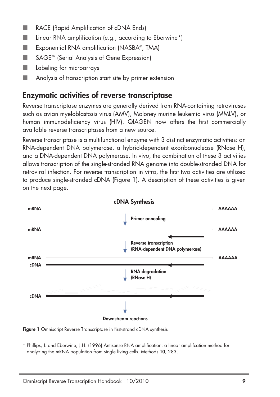- RACE (Rapid Amplification of cDNA Ends)
- Linear RNA amplification (e.g., according to Eberwine\*)
- Exponential RNA amplification (NASBA<sup>®</sup>, TMA)
- SAGE<sup>™</sup> (Serial Analysis of Gene Expression)
- Labeling for microarrays
- Analysis of transcription start site by primer extension

### **Enzymatic activities of reverse transcriptase**

Reverse transcriptase enzymes are generally derived from RNA-containing retroviruses such as avian myeloblastosis virus (AMV), Moloney murine leukemia virus (MMLV), or human immunodeficiency virus (HIV). QIAGEN now offers the first commercially available reverse transcriptases from a new source.

Reverse transcriptase is a multifunctional enzyme with 3 distinct enzymatic activities: an RNA-dependent DNA polymerase, a hybrid-dependent exoribonuclease (RNase H), and a DNA-dependent DNA polymerase. In vivo, the combination of these 3 activities allows transcription of the single-stranded RNA genome into double-stranded DNA for retroviral infection. For reverse transcription in vitro, the first two activities are utilized to produce single-stranded cDNA (Figure 1). A description of these activities is given on the next page.



**Figure 1** Omniscript Reverse Transcriptase in first-strand cDNA synthesis

\* Phillips, J. and Eberwine, J.H. (1996) Antisense RNA amplification: a linear amplifcation method for analyzing the mRNA population from single living cells. Methods **10**, 283.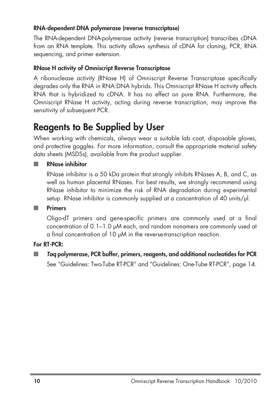#### **RNA-dependent DNA polymerase (reverse transcriptase)**

The RNA-dependent DNA-polymerase activity (reverse transcription) transcribes cDNA from an RNA template. This activity allows synthesis of cDNA for cloning, PCR, RNA sequencing, and primer extension.

#### **RNase H activity of Omniscript Reverse Transcriptase**

A ribonuclease activity (RNase H) of Omniscript Reverse Transcriptase specifically degrades only the RNA in RNA:DNA hybrids. This Omniscript RNase H activity affects RNA that is hybridized to cDNA. It has no effect on pure RNA. Furthermore, the Omniscript RNase H activity, acting during reverse transcription, may improve the sensitivity of subsequent PCR.

### **Reagents to Be Supplied by User**

When working with chemicals, always wear a suitable lab coat, disposable gloves, and protective goggles. For more information, consult the appropriate material safety data sheets (MSDSs), available from the product supplier.

#### ■ **RNase inhibitor**

RNase inhibitor is a 50 kDa protein that strongly inhibits RNases A, B, and C, as well as human placental RNases. For best results, we strongly recommend using RNase inhibitor to minimize the risk of RNA degradation during experimental setup. RNase inhibitor is commonly supplied at a concentration of 40 units/μl.

#### ■ **Primers**

Oligo-dT primers and gene-specific primers are commonly used at a final concentration of 0.1–1.0 μM each, and random nonamers are commonly used at a final concentration of 10 μM in the reverse-transcription reaction.

#### **For RT-PCR:**

■ *Taq* **polymerase, PCR buffer, primers, reagents, and additional nucleotides for PCR**

See "Guidelines: Two-Tube RT-PCR" and "Guidelines: One-Tube RT-PCR", page 14.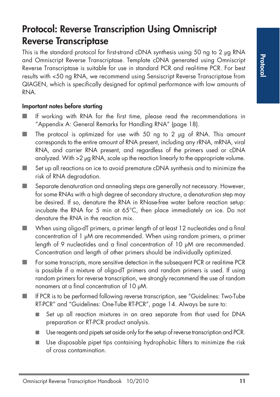### **Protocol: Reverse Transcription Using Omniscript Reverse Transcriptase**

This is the standard protocol for first-strand cDNA synthesis using 50 ng to 2 μg RNA and Omniscript Reverse Transcriptase. Template cDNA generated using Omniscript Reverse Transcriptase is suitable for use in standard PCR and real-time PCR. For best results with <50 ng RNA, we recommend using Sensiscript Reverse Transcriptase from QIAGEN, which is specifically designed for optimal performance with low amounts of RNA.

#### **Important notes before starting**

- If working with RNA for the first time, please read the recommendations in "Appendix A: General Remarks for Handling RNA" (page 18).
- The protocol is optimized for use with 50 ng to 2 µg of RNA. This amount corresponds to the entire amount of RNA present, including any rRNA, mRNA, viral RNA, and carrier RNA present, and regardless of the primers used or cDNA analyzed. With >2 μg RNA, scale up the reaction linearly to the appropriate volume.
- Set up all reactions on ice to avoid premature cDNA synthesis and to minimize the risk of RNA degradation.
- Separate denaturation and annealing steps are generally not necessary. However, for some RNAs with a high degree of secondary structure, a denaturation step may be desired. If so, denature the RNA in RNase-free water before reaction setup: incubate the RNA for 5 min at 65°C, then place immediately on ice. Do not denature the RNA in the reaction mix.
- When using oligo-dT primers, a primer length of at least 12 nucleotides and a final concentration of 1 μM are recommended. When using random primers, a primer length of 9 nucleotides and a final concentration of 10 μM are recommended. Concentration and length of other primers should be individually optimized.
- For some transcripts, more sensitive detection in the subsequent PCR or real-time PCR is possible if a mixture of oligo-dT primers and random primers is used. If using random primers for reverse transcription, we strongly recommend the use of random nonamers at a final concentration of 10 μM.
- If PCR is to be performed following reverse transcription, see "Guidelines: Two-Tube RT-PCR" and "Guidelines: One-Tube RT-PCR", page 14. Always be sure to:
	- Set up all reaction mixtures in an area separate from that used for DNA preparation or RT-PCR product analysis.
	- Use reagents and pipets set aside only for the setup of reverse transcription and PCR.
	- Use disposable pipet tips containing hydrophobic filters to minimize the risk of cross contamination.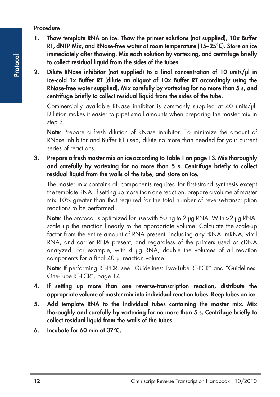#### **Procedure**

- **1. Thaw template RNA on ice. Thaw the primer solutions (not supplied), 10x Buffer RT, dNTP Mix, and RNase-free water at room temperature (15–25°C). Store on ice immediately after thawing. Mix each solution by vortexing, and centrifuge briefly to collect residual liquid from the sides of the tubes.**
- **2. Dilute RNase inhibitor (not supplied) to a final concentration of 10 units/μl in ice-cold 1x Buffer RT (dilute an aliquot of 10x Buffer RT accordingly using the RNase-free water supplied). Mix carefully by vortexing for no more than 5 s, and centrifuge briefly to collect residual liquid from the sides of the tube.**

Commercially available RNase inhibitor is commonly supplied at 40 units/μl. Dilution makes it easier to pipet small amounts when preparing the master mix in step 3.

**Note**: Prepare a fresh dilution of RNase inhibitor. To minimize the amount of RNase inhibitor and Buffer RT used, dilute no more than needed for your current series of reactions.

**3. Prepare a fresh master mix on ice according to Table 1 on page 13. Mix thoroughly and carefully by vortexing for no more than 5 s. Centrifuge briefly to collect residual liquid from the walls of the tube, and store on ice.**

The master mix contains all components required for first-strand synthesis except the template RNA. If setting up more than one reaction, prepare a volume of master mix 10% greater than that required for the total number of reverse-transcription reactions to be performed.

**Note**: The protocol is optimized for use with 50 ng to 2 μg RNA. With >2 μg RNA, scale up the reaction linearly to the appropriate volume. Calculate the scale-up factor from the entire amount of RNA present, including any rRNA, mRNA, viral RNA, and carrier RNA present, and regardless of the primers used or cDNA analyzed. For example, with 4 μg RNA, double the volumes of all reaction components for a final 40 μl reaction volume.

**Note**: If performing RT-PCR, see "Guidelines: Two-Tube RT-PCR" and "Guidelines: One-Tube RT-PCR", page 14.

- **4. If setting up more than one reverse-transcription reaction, distribute the appropriate volume of master mix into individual reaction tubes. Keep tubes on ice.**
- **5. Add template RNA to the individual tubes containing the master mix. Mix thoroughly and carefully by vortexing for no more than 5 s. Centrifuge briefly to collect residual liquid from the walls of the tubes.**
- **6. Incubate for 60 min at 37°C.**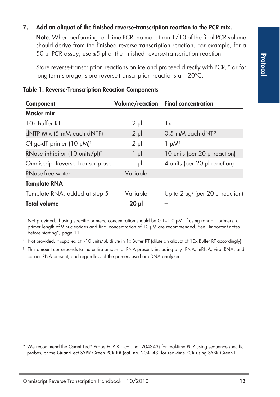#### **7. Add an aliquot of the finished reverse-transcription reaction to the PCR mix.**

**Note**: When performing real-time PCR, no more than 1/10 of the final PCR volume should derive from the finished reverse-transcription reaction. For example, for a 50 µl PCR assay, use  $\leq$ 5 µl of the finished reverse-transcription reaction.

Store reverse-transcription reactions on ice and proceed directly with PCR,\* or for long-term storage, store reverse-transcription reactions at –20°C.

| Component                                        |            | Volume/reaction Final concentration                    |
|--------------------------------------------------|------------|--------------------------------------------------------|
| Master mix                                       |            |                                                        |
| 10x Buffer RT                                    | $2 \mu$    | 1x                                                     |
| dNTP Mix (5 mM each dNTP)                        | $2 \mu$    | 0.5 mM each dNTP                                       |
| Oligo-dT primer (10 µM) <sup>†</sup>             | $2 \mu$    | $1 \mu M$ <sup>†</sup>                                 |
| RNase inhibitor (10 units/ $\mu$ l) <sup>‡</sup> | $1 \mu$    | 10 units (per 20 µl reaction)                          |
| <b>Omniscript Reverse Transcriptase</b>          | 1 µl       | 4 units (per 20 µl reaction)                           |
| RNase-free water                                 | Variable   |                                                        |
| <b>Template RNA</b>                              |            |                                                        |
| Template RNA, added at step 5                    | Variable   | Up to 2 $\mu$ g <sup>§</sup> (per 20 $\mu$ l reaction) |
| <b>Total volume</b>                              | $20$ $\mu$ |                                                        |

#### **Table 1. Reverse-Transcription Reaction Components**

 $^+$  Not provided. If using specific primers, concentration should be 0.1–1.0  $\mu$ M. If using random primers, a primer length of 9 nucleotides and final concentration of 10 µM are recommended. See "Important notes before starting", page 11.

‡ Not provided. If supplied at >10 units/µl, dilute in 1x Buffer RT (dilute an aliquot of 10x Buffer RT accordingly).

§ This amount corresponds to the entire amount of RNA present, including any rRNA, mRNA, viral RNA, and carrier RNA present, and regardless of the primers used or cDNA analyzed.

<sup>\*</sup> We recommend the QuantiTect® Probe PCR Kit (cat. no. 204343) for real-time PCR using sequence-specific probes, or the QuantiTect SYBR Green PCR Kit (cat. no. 204143) for real-time PCR using SYBR Green I.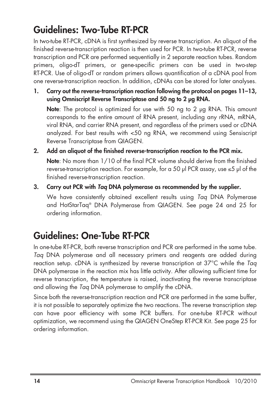### **Guidelines: Two-Tube RT-PCR**

In two-tube RT-PCR, cDNA is first synthesized by reverse transcription. An aliquot of the finished reverse-transcription reaction is then used for PCR. In two-tube RT-PCR, reverse transcription and PCR are performed sequentially in 2 separate reaction tubes. Random primers, oligo-dT primers, or gene-specific primers can be used in two-step RT-PCR. Use of oligo-dT or random primers allows quantification of a cDNA pool from one reverse-transcription reaction. In addition, cDNAs can be stored for later analyses.

**1. Carry out the reverse-transcription reaction following the protocol on pages 11–13, using Omniscript Reverse Transcriptase and 50 ng to 2 μg RNA.**

**Note**: The protocol is optimized for use with 50 ng to 2 μg RNA. This amount corresponds to the entire amount of RNA present, including any rRNA, mRNA, viral RNA, and carrier RNA present, and regardless of the primers used or cDNA analyzed. For best results with <50 ng RNA, we recommend using Sensiscript Reverse Transcriptase from QIAGEN.

- **2. Add an aliquot of the finished reverse-transcription reaction to the PCR mix. Note**: No more than 1/10 of the final PCR volume should derive from the finished reverse-transcription reaction. For example, for a 50 μl PCR assay, use  $\leq$ 5 μl of the finished reverse-transcription reaction.
- **3. Carry out PCR with** *Taq* **DNA polymerase as recommended by the supplier.** We have consistently obtained excellent results using Tag DNA Polymerase

and HotStarTaq® DNA Polymerase from QIAGEN. See page 24 and 25 for ordering information.

### **Guidelines: One-Tube RT-PCR**

In one-tube RT-PCR, both reverse transcription and PCR are performed in the same tube. Taq DNA polymerase and all necessary primers and reagents are added during reaction setup. cDNA is synthesized by reverse transcription at 37<sup>o</sup>C while the Taq DNA polymerase in the reaction mix has little activity. After allowing sufficient time for reverse transcription, the temperature is raised, inactivating the reverse transcriptase and allowing the Taq DNA polymerase to amplify the cDNA.

Since both the reverse-transcription reaction and PCR are performed in the same buffer, it is not possible to separately optimize the two reactions. The reverse transcription step can have poor efficiency with some PCR buffers. For one-tube RT-PCR without optimization, we recommend using the QIAGEN OneStep RT-PCR Kit. See page 25 for ordering information.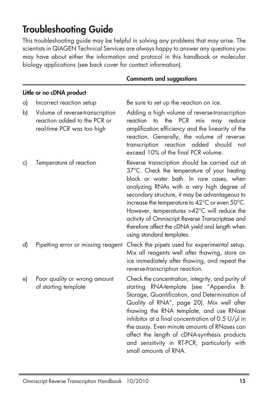### **Troubleshooting Guide**

This troubleshooting guide may be helpful in solving any problems that may arise. The scientists in QIAGEN Technical Services are always happy to answer any questions you may have about either the information and protocol in this handbook or molecular biology applications (see back cover for contact information).

|    |                                                                                               | <b>Comments and suggestions</b>                                                                                                                                                                                                                                                                                                                                                                                                                                               |
|----|-----------------------------------------------------------------------------------------------|-------------------------------------------------------------------------------------------------------------------------------------------------------------------------------------------------------------------------------------------------------------------------------------------------------------------------------------------------------------------------------------------------------------------------------------------------------------------------------|
|    | Little or no cDNA product                                                                     |                                                                                                                                                                                                                                                                                                                                                                                                                                                                               |
| a) | Incorrect reaction setup                                                                      | Be sure to set up the reaction on ice.                                                                                                                                                                                                                                                                                                                                                                                                                                        |
| b) | Volume of reverse-transcription<br>reaction added to the PCR or<br>real-time PCR was too high | Adding a high volume of reverse-transcription<br>the PCR<br>mix<br>may<br>reduce<br>reaction<br>to<br>amplification efficiency and the linearity of the<br>reaction. Generally, the volume of reverse-<br>reaction added should<br>transcription<br>not<br>exceed 10% of the final PCR volume.                                                                                                                                                                                |
| c) | Temperature of reaction                                                                       | Reverse transcription should be carried out at<br>37°C. Check the temperature of your heating<br>block or water bath. In rare cases, when<br>analyzing RNAs with a very high degree of<br>secondary structure, it may be advantageous to<br>increase the temperature to 42°C or even 50°C.<br>However, temperatures >42°C will reduce the<br>activity of Omniscript Reverse Transcriptase and<br>therefore affect the cDNA yield and length when<br>using standard templates. |
| d) | Pipetting error or missing reagent                                                            | Check the pipets used for experimental setup.<br>Mix all reagents well after thawing, store on<br>ice immediately after thawing, and repeat the<br>reverse-transcription reaction.                                                                                                                                                                                                                                                                                            |
| e) | Poor quality or wrong amount<br>of starting template                                          | Check the concentration, integrity, and purity of<br>starting RNA-template (see "Appendix B:<br>Storage, Quantification, and Determination of<br>Quality of RNA", page 20). Mix well after<br>thawing the RNA template, and use RNase<br>inhibitor at a final concentration of 0.5 $U/\mu$ in<br>the assay. Even minute amounts of RNases can<br>affect the length of cDNA-synthesis products<br>and sensitivity in RT-PCR, particularly with<br>small amounts of RNA.        |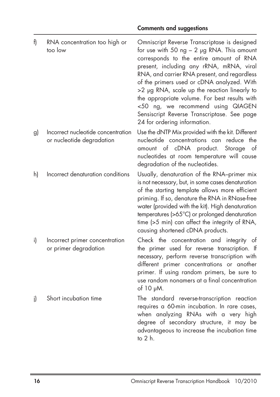| f) | RNA concentration too high or<br>too low                        | Omniscript Reverse Transcriptase is designed<br>for use with 50 $ng - 2$ µg RNA. This amount<br>corresponds to the entire amount of RNA<br>present, including any rRNA, mRNA, viral<br>RNA, and carrier RNA present, and regardless<br>of the primers used or cDNA analyzed. With<br>>2 µg RNA, scale up the reaction linearly to<br>the appropriate volume. For best results with<br><50 ng, we recommend using QIAGEN<br>Sensiscript Reverse Transcriptase. See page<br>24 for ordering information. |
|----|-----------------------------------------------------------------|--------------------------------------------------------------------------------------------------------------------------------------------------------------------------------------------------------------------------------------------------------------------------------------------------------------------------------------------------------------------------------------------------------------------------------------------------------------------------------------------------------|
| g) | Incorrect nucleotide concentration<br>or nucleotide degradation | Use the dNTP Mix provided with the kit. Different<br>nucleotide concentrations can reduce<br>the<br>amount of cDNA product.<br>Storage<br>of<br>nucleotides at room temperature will cause<br>degradation of the nucleotides.                                                                                                                                                                                                                                                                          |
| h) | Incorrect denaturation conditions                               | Usually, denaturation of the RNA-primer mix<br>is not necessary, but, in some cases denaturation<br>of the starting template allows more efficient<br>priming. If so, denature the RNA in RNase-free<br>water (provided with the kit). High denaturation<br>temperatures (>65°C) or prolonged denaturation<br>time (>5 min) can affect the integrity of RNA,<br>causing shortened cDNA products.                                                                                                       |
| i) | Incorrect primer concentration<br>or primer degradation         | Check the concentration and integrity of<br>the primer used for reverse transcription. If<br>necessary, perform reverse transcription with<br>different primer concentrations or another<br>primer. If using random primers, be sure to<br>use random nonamers at a final concentration<br>of 10 pM.                                                                                                                                                                                                   |
| i) | Short incubation time                                           | The standard reverse-transcription reaction<br>requires a 60-min incubation. In rare cases,<br>when analyzing RNAs with a very high<br>degree of secondary structure, it may be<br>advantageous to increase the incubation time<br>to 2 h.                                                                                                                                                                                                                                                             |

#### **Comments and suggestions**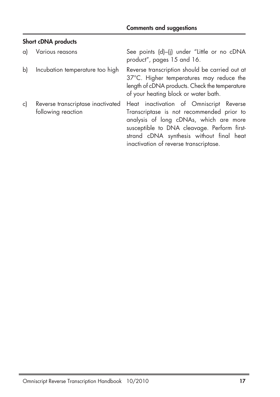#### **Short cDNA products**

| a) | Various reasons                                         | See points (d)-(i) under "Little or no cDNA<br>product", pages 15 and 16.                                                                                                                                                                                           |
|----|---------------------------------------------------------|---------------------------------------------------------------------------------------------------------------------------------------------------------------------------------------------------------------------------------------------------------------------|
| b) | Incubation temperature too high                         | Reverse transcription should be carried out at<br>37°C. Higher temperatures may reduce the<br>length of cDNA products. Check the temperature<br>of your heating block or water bath.                                                                                |
| c) | Reverse transcriptase inactivated<br>following reaction | Heat inactivation of Omniscript Reverse<br>Transcriptase is not recommended prior to<br>analysis of long cDNAs, which are more<br>susceptible to DNA cleavage. Perform first-<br>strand cDNA synthesis without final heat<br>inactivation of reverse transcriptase. |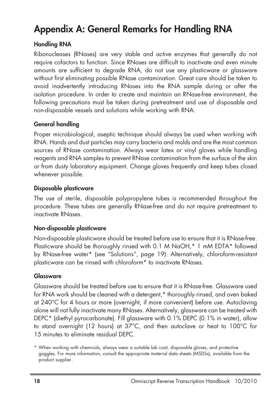### **Appendix A: General Remarks for Handling RNA**

#### **Handling RNA**

Ribonucleases (RNases) are very stable and active enzymes that generally do not require cofactors to function. Since RNases are difficult to inactivate and even minute amounts are sufficient to degrade RNA, do not use any plasticware or glassware without first eliminating possible RNase contamination. Great care should be taken to avoid inadvertently introducing RNases into the RNA sample during or after the isolation procedure. In order to create and maintain an RNase-free environment, the following precautions must be taken during pretreatment and use of disposable and non-disposable vessels and solutions while working with RNA.

#### **General handling**

Proper microbiological, aseptic technique should always be used when working with RNA. Hands and dust particles may carry bacteria and molds and are the most common sources of RNase contamination. Always wear latex or vinyl gloves while handling reagents and RNA samples to prevent RNase contamination from the surface of the skin or from dusty laboratory equipment. Change gloves frequently and keep tubes closed whenever possible.

#### **Disposable plasticware**

The use of sterile, disposable polypropylene tubes is recommended throughout the procedure. These tubes are generally RNase-free and do not require pretreatment to inactivate RNases.

#### **Non-disposable plasticware**

Non-disposable plasticware should be treated before use to ensure that it is RNase-free. Plasticware should be thoroughly rinsed with 0.1 M NaOH,\* 1 mM EDTA\* followed by RNase-free water\* (see "Solutions", page 19). Alternatively, chloroform-resistant plasticware can be rinsed with chloroform\* to inactivate RNases.

#### **Glassware**

Glassware should be treated before use to ensure that it is RNase-free. Glassware used for RNA work should be cleaned with a detergent,\* thoroughly rinsed, and oven baked at 240°C for 4 hours or more (overnight, if more convenient) before use. Autoclaving alone will not fully inactivate many RNases. Alternatively, glassware can be treated with DEPC\* (diethyl pyrocarbonate). Fill glassware with 0.1% DEPC (0.1% in water), allow to stand overnight (12 hours) at 37°C, and then autoclave or heat to 100°C for 15 minutes to eliminate residual DEPC.

<sup>\*</sup> When working with chemicals, always wear a suitable lab coat, disposable gloves, and protective goggles. For more information, consult the appropriate material data sheets (MSDSs), available from the product supplier.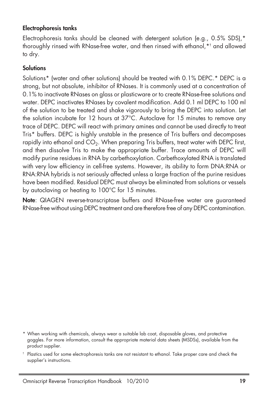#### **Electrophoresis tanks**

Electrophoresis tanks should be cleaned with detergent solution (e.g., 0.5% SDS),\* thoroughly rinsed with RNase-free water, and then rinsed with ethanol,\*† and allowed to dry.

#### **Solutions**

Solutions\* (water and other solutions) should be treated with 0.1% DEPC.\* DEPC is a strong, but not absolute, inhibitor of RNases. It is commonly used at a concentration of 0.1% to inactivate RNases on glass or plasticware or to create RNase-free solutions and water. DEPC inactivates RNases by covalent modification. Add 0.1 ml DEPC to 100 ml of the solution to be treated and shake vigorously to bring the DEPC into solution. Let the solution incubate for 12 hours at 37°C. Autoclave for 15 minutes to remove any trace of DEPC. DEPC will react with primary amines and cannot be used directly to treat Tris\* buffers. DEPC is highly unstable in the presence of Tris buffers and decomposes rapidly into ethanol and  $CO<sub>2</sub>$ . When preparing Tris buffers, treat water with DEPC first, and then dissolve Tris to make the appropriate buffer. Trace amounts of DEPC will modify purine residues in RNA by carbethoxylation. Carbethoxylated RNA is translated with very low efficiency in cell-free systems. However, its ability to form DNA:RNA or RNA:RNA hybrids is not seriously affected unless a large fraction of the purine residues have been modified. Residual DEPC must always be eliminated from solutions or vessels by autoclaving or heating to 100°C for 15 minutes.

**Note**: QIAGEN reverse-transcriptase buffers and RNase-free water are guaranteed RNase-free without using DEPC treatment and are therefore free of any DEPC contamination.

<sup>\*</sup> When working with chemicals, always wear a suitable lab coat, disposable gloves, and protective goggles. For more information, consult the appropriate material data sheets (MSDSs), available from the product supplier.

<sup>†</sup> Plastics used for some electrophoresis tanks are not resistant to ethanol. Take proper care and check the supplier's instructions.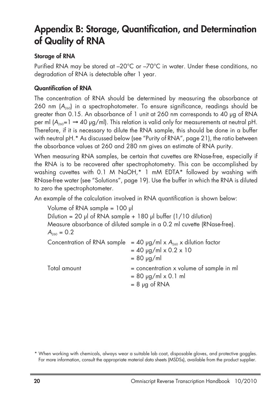### **Appendix B: Storage, Quantification, and Determination of Quality of RNA**

#### **Storage of RNA**

Purified RNA may be stored at –20°C or –70°C in water. Under these conditions, no degradation of RNA is detectable after 1 year.

#### **Quantification of RNA**

The concentration of RNA should be determined by measuring the absorbance at 260 nm  $(A_{260})$  in a spectrophotometer. To ensure significance, readings should be greater than 0.15. An absorbance of 1 unit at 260 nm corresponds to 40 μg of RNA per ml  $(A_{200}=1 \rightarrow 40 \text{ kg/ml})$ . This relation is valid only for measurements at neutral pH. Therefore, if it is necessary to dilute the RNA sample, this should be done in a buffer with neutral pH.\* As discussed below (see "Purity of RNA", page 21), the ratio between the absorbance values at 260 and 280 nm gives an estimate of RNA purity.

When measuring RNA samples, be certain that cuvettes are RNase-free, especially if the RNA is to be recovered after spectrophotometry. This can be accomplished by washing cuvettes with 0.1 M NaOH,\* 1 mM EDTA\* followed by washing with RNase-free water (see "Solutions", page 19). Use the buffer in which the RNA is diluted to zero the spectrophotometer.

An example of the calculation involved in RNA quantification is shown below:

Volume of RNA sample = 100 μl Dilution = 20 μl of RNA sample + 180 μl buffer  $(1/10$  dilution) Measure absorbance of diluted sample in a 0.2 ml cuvette (RNase-free).  $A_{260} = 0.2$ Concentration of RNA sample = 40  $\mu$ g/ml x A<sub>260</sub> x dilution factor  $= 40$  µg/ml x 0.2 x 10  $= 80 \mu g/ml$  $Total amount = concentration x volume of sample in ml$  $= 80 \mu q/ml \times 0.1 \text{ ml}$  $= 8$  μg of RNA

<sup>\*</sup> When working with chemicals, always wear a suitable lab coat, disposable gloves, and protective goggles. For more information, consult the appropriate material data sheets (MSDSs), available from the product supplier.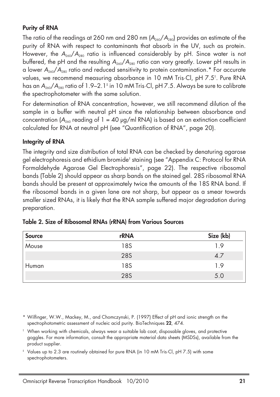#### **Purity of RNA**

The ratio of the readings at 260 nm and 280 nm  $(A_{260}/A_{280})$  provides an estimate of the purity of RNA with respect to contaminants that absorb in the UV, such as protein. However, the  $A_{260}/A_{280}$  ratio is influenced considerably by pH. Since water is not buffered, the pH and the resulting  $A_{260}/A_{280}$  ratio can vary greatly. Lower pH results in a lower  $A_{260}/A_{280}$  ratio and reduced sensitivity to protein contamination.\* For accurate values, we recommend measuring absorbance in 10 mM Tris·Cl, pH 7.5† . Pure RNA has an  $A_{260}/A_{280}$  ratio of 1.9–2.1<sup> $\dagger$ </sup> in 10 mM Tris·Cl, pH 7.5. Always be sure to calibrate the spectrophotometer with the same solution.

For determination of RNA concentration, however, we still recommend dilution of the sample in a buffer with neutral pH since the relationship between absorbance and concentration ( $A_{260}$  reading of 1 = 40 µg/ml RNA) is based on an extinction coefficient calculated for RNA at neutral pH (see "Quantification of RNA", page 20).

#### **Integrity of RNA**

The integrity and size distribution of total RNA can be checked by denaturing agarose gel electrophoresis and ethidium bromide† staining (see "Appendix C: Protocol for RNA Formaldehyde Agarose Gel Electrophoresis", page 22). The respective ribosomal bands (Table 2) should appear as sharp bands on the stained gel. 28S ribosomal RNA bands should be present at approximately twice the amounts of the 18S RNA band. If the ribosomal bands in a given lane are not sharp, but appear as a smear towards smaller sized RNAs, it is likely that the RNA sample suffered major degradation during preparation.

| <b>Source</b> | rRNA | Size (kb) |
|---------------|------|-----------|
| Mouse         | 18S  | 1.9       |
|               | 28S  | 4.7       |
| Human         | 18S  | 1.9       |
|               | 28S  | 5.0       |

#### **Table 2. Size of Ribosomal RNAs (rRNA) from Various Sources**

\* Wilfinger, W.W., Mackey, M., and Chomczynski, P. (1997) Effect of pH and ionic strength on the spectrophotometric assessment of nucleic acid purity. BioTechniques **22**, 474.

† When working with chemicals, always wear a suitable lab coat, disposable gloves, and protective goggles. For more information, consult the appropriate material data sheets (MSDSs), available from the product supplier.

‡ Values up to 2.3 are routinely obtained for pure RNA (in 10 mM Tris·Cl, pH 7.5) with some spectrophotometers.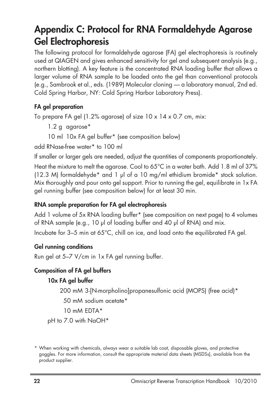### **Appendix C: Protocol for RNA Formaldehyde Agarose Gel Electrophoresis**

The following protocol for formaldehyde agarose (FA) gel electrophoresis is routinely used at QIAGEN and gives enhanced sensitivity for gel and subsequent analysis (e.g., northern blotting). A key feature is the concentrated RNA loading buffer that allows a larger volume of RNA sample to be loaded onto the gel than conventional protocols (e.g., Sambrook et al., eds. (1989) Molecular cloning — a laboratory manual, 2nd ed. Cold Spring Harbor, NY: Cold Spring Harbor Laboratory Press).

#### **FA gel preparation**

To prepare FA gel (1.2% agarose) of size 10 x 14 x 0.7 cm, mix:

- 1.2 g agarose\*
- 10 ml 10x FA gel buffer\* (see composition below)

add RNase-free water\* to 100 ml

If smaller or larger gels are needed, adjust the quantities of components proportionately. Heat the mixture to melt the agarose. Cool to 65°C in a water bath. Add 1.8 ml of 37% (12.3 M) formaldehyde\* and 1 μl of a 10 mg/ml ethidium bromide\* stock solution. Mix thoroughly and pour onto gel support. Prior to running the gel, equilibrate in 1x FA gel running buffer (see composition below) for at least 30 min.

#### **RNA sample preparation for FA gel electrophoresis**

Add 1 volume of 5x RNA loading buffer\* (see composition on next page) to 4 volumes of RNA sample (e.g., 10 μl of loading buffer and 40 μl of RNA) and mix.

Incubate for 3–5 min at 65°C, chill on ice, and load onto the equilibrated FA gel.

#### **Gel running conditions**

Run gel at 5–7 V/cm in 1x FA gel running buffer.

#### **Composition of FA gel buffers**

#### **10x FA gel buffer**

200 mM 3-[N-morpholino]propanesulfonic acid (MOPS) (free acid)\*

50 mM sodium acetate\*

10 mM EDTA\*

pH to 7.0 with NaOH\*

<sup>\*</sup> When working with chemicals, always wear a suitable lab coat, disposable gloves, and protective goggles. For more information, consult the appropriate material data sheets (MSDSs), available from the product supplier.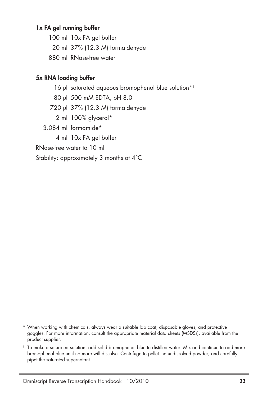#### **1x FA gel running buffer**

100 ml 10x FA gel buffer 20 ml 37% (12.3 M) formaldehyde 880 ml RNase-free water

#### **5x RNA loading buffer**

- 16 μl saturated aqueous bromophenol blue solution\*<sup>†</sup>
- 80 μl 500 mM EDTA, pH 8.0
- 720 μl 37% (12.3 M) formaldehyde
	- 2 ml 100% glycerol\*
- 3.084 ml formamide\*
	- 4 ml 10x FA gel buffer

RNase-free water to 10 ml

Stability: approximately 3 months at 4°C

- \* When working with chemicals, always wear a suitable lab coat, disposable gloves, and protective goggles. For more information, consult the appropriate material data sheets (MSDSs), available from the product supplier.
- † To make a saturated solution, add solid bromophenol blue to distilled water. Mix and continue to add more bromophenol blue until no more will dissolve. Centrifuge to pellet the undissolved powder, and carefully pipet the saturated supernatant.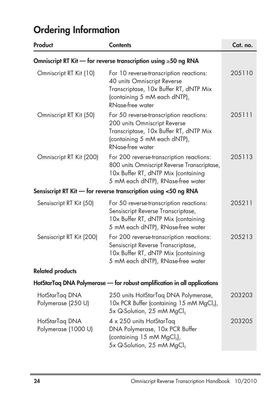| Product                                                                  | <b>Contents</b>                                                                                                                                                              | Cat. no. |
|--------------------------------------------------------------------------|------------------------------------------------------------------------------------------------------------------------------------------------------------------------------|----------|
| Omniscript RT Kit — for reverse transcription using ≥50 ng RNA           |                                                                                                                                                                              |          |
| Omniscript RT Kit (10)                                                   | For 10 reverse-transcription reactions:<br>40 units Omniscript Reverse<br>Transcriptase, 10x Buffer RT, dNTP Mix<br>(containing 5 mM each dNTP),<br><b>RNase-free water</b>  | 205110   |
| Omniscript RT Kit (50)                                                   | For 50 reverse-transcription reactions:<br>200 units Omniscript Reverse<br>Transcriptase, 10x Buffer RT, dNTP Mix<br>(containing 5 mM each dNTP),<br><b>RNase-free water</b> | 205111   |
| Omniscript RT Kit (200)                                                  | For 200 reverse-transcription reactions:<br>800 units Omniscript Reverse Transcriptase,<br>10x Buffer RT, dNTP Mix (containing<br>5 mM each dNTP), RNase-free water          | 205113   |
|                                                                          | Sensiscript RT Kit - for reverse transcription using <50 ng RNA                                                                                                              |          |
| Sensiscript RT Kit (50)                                                  | For 50 reverse-transcription reactions:<br>Sensiscript Reverse Transcriptase,<br>10x Buffer RT, dNTP Mix (containing<br>5 mM each dNTP), RNase-free water                    | 205211   |
| Sensiscript RT Kit (200)                                                 | For 200 reverse-transcription reactions:<br>Sensiscript Reverse Transcriptase,<br>10x Buffer RT, dNTP Mix (containing<br>5 mM each dNTP), RNase-free water                   | 205213   |
| <b>Related products</b>                                                  |                                                                                                                                                                              |          |
| HotStarTaq DNA Polymerase — for robust amplification in all applications |                                                                                                                                                                              |          |
| HotStarTaq DNA<br>Polymerase (250 U)                                     | 250 units HotStarTaq DNA Polymerase,<br>10x PCR Buffer (containing 15 mM MgCl <sub>2</sub> ),<br>5x Q-Solution, 25 mM MgCl <sub>2</sub>                                      | 203203   |
| HotStarTaq DNA<br>Polymerase (1000 U)                                    | 4 x 250 units HotStarTaq<br>DNA Polymerase, 10x PCR Buffer<br>(containing 15 mM MgCl <sub>2</sub> ),<br>5x Q-Solution, 25 mM MgCl <sub>2</sub>                               | 203205   |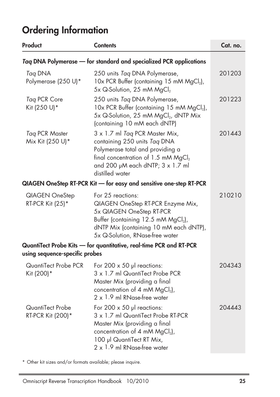| Product                                                            | <b>Contents</b>                                                                                                                                                                                                    | Cat. no. |
|--------------------------------------------------------------------|--------------------------------------------------------------------------------------------------------------------------------------------------------------------------------------------------------------------|----------|
| Taq DNA Polymerase - for standard and specialized PCR applications |                                                                                                                                                                                                                    |          |
| Tag DNA<br>Polymerase (250 U)*                                     | 250 units Tag DNA Polymerase,<br>10x PCR Buffer (containing 15 mM MgCl2),<br>5x Q-Solution, 25 mM MgCl <sub>2</sub>                                                                                                | 201203   |
| Taq PCR Core<br>Kit (250 U)*                                       | 250 units Tag DNA Polymerase,<br>10x PCR Buffer (containing 15 mM MgCl <sub>2</sub> ),<br>5x Q-Solution, 25 mM MgCl <sub>2</sub> , dNTP Mix<br>(containing 10 mM each dNTP)                                        | 201223   |
| Tag PCR Master<br>Mix Kit (250 U)*                                 | 3 x 1.7 ml Tag PCR Master Mix,<br>containing 250 units Taq DNA<br>Polymerase total and providing a<br>final concentration of 1.5 mM MgCl <sub>2</sub><br>and 200 µM each dNTP; 3 x 1.7 ml<br>distilled water       | 201443   |
|                                                                    | QIAGEN OneStep RT-PCR Kit - for easy and sensitive one-step RT-PCR                                                                                                                                                 |          |
| QIAGEN OneStep<br>RT-PCR Kit (25)*                                 | For 25 reactions:<br>QIAGEN OneStep RT-PCR Enzyme Mix,<br>5x QIAGEN OneStep RT-PCR<br>Buffer (containing 12.5 mM MgCl <sub>2</sub> ),<br>dNTP Mix (containing 10 mM each dNTP),<br>5x Q-Solution, RNase-free water | 210210   |
| using sequence-specific probes                                     | QuantiTect Probe Kits - for quantitative, real-time PCR and RT-PCR                                                                                                                                                 |          |
| QuantiTect Probe PCR<br>Kit (200)*                                 | For 200 $\times$ 50 µl reactions:<br>3 x 1.7 ml QuantiTect Probe PCR<br>Master Mix (providing a final<br>concentration of 4 mM $MgCl2$ ),<br>$2 \times 1.9$ ml RNase-free water                                    | 204343   |
| QuantiTect Probe<br>RT-PCR Kit (200)*                              | For 200 $\times$ 50 µl reactions:<br>3 x 1.7 ml QuantiTect Probe RT-PCR<br>Master Mix (providing a final<br>concentration of 4 mM $MgCl2$ ),<br>100 µl QuantiTect RT Mix,<br>2 x 1.9 ml RNase-free water           | 204443   |

\* Other kit sizes and/or formats available; please inquire.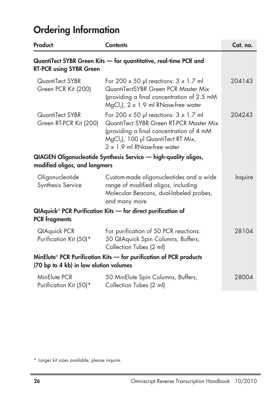| Product                                                                                                                  | <b>Contents</b>                                                                                                                                                                                                             | Cat. no. |
|--------------------------------------------------------------------------------------------------------------------------|-----------------------------------------------------------------------------------------------------------------------------------------------------------------------------------------------------------------------------|----------|
| <b>RT-PCR using SYBR Green</b>                                                                                           | QuantiTect SYBR Green Kits - for quantitative, real-time PCR and                                                                                                                                                            |          |
| QuantiTect SYBR<br>Green PCR Kit (200)                                                                                   | For 200 $\times$ 50 µl reactions: $3 \times 1.7$ ml<br>QuantiTectSYBR Green PCR Master Mix<br>(providing a final concentration of 2.5 mM<br>$MgCl2$ ), 2 x 1.9 ml RNase-free water                                          | 204143   |
| QuantiTect SYBR<br>Green RT-PCR Kit (200)                                                                                | For 200 $\times$ 50 µl reactions: $3 \times 1.7$ ml<br>QuantiTect SYBR Green RT-PCR Master Mix<br>(providing a final concentration of 4 mM<br>MgCl <sub>2</sub> ), 100 µl QuantiTect RT Mix,<br>2 x 1.9 ml RNase-free water | 204243   |
| modified oligos, and longmers                                                                                            | QIAGEN Oligonucleotide Synthesis Service — high-quality oligos,                                                                                                                                                             |          |
| Oligonucleotide<br>Synthesis Service                                                                                     | Custom-made oligonucleotides and a wide<br>range of modified oligos, including<br>Molecular Beacons, dual-labeled probes,<br>and many more                                                                                  | Inquire  |
| QIAquick® PCR Purification Kits — for direct purification of<br><b>PCR</b> fragments                                     |                                                                                                                                                                                                                             |          |
| <b>QIAquick PCR</b><br>Purification Kit (50)*                                                                            | For purification of 50 PCR reactions:<br>50 QIAquick Spin Columns, Buffers,<br>Collection Tubes (2 ml)                                                                                                                      | 28104    |
| MinElute <sup>®</sup> PCR Purification Kits — for purification of PCR products<br>(70 bp to 4 kb) in low elution volumes |                                                                                                                                                                                                                             |          |
| MinElute PCR<br>Purification Kit (50)*                                                                                   | 50 MinElute Spin Columns, Buffers,<br>Collection Tubes (2 ml)                                                                                                                                                               | 28004    |

<sup>\*</sup> Larger kit sizes available; please inquire.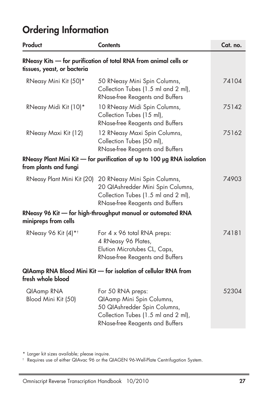| Product                           | <b>Contents</b>                                                                                                                                          | Cat. no. |
|-----------------------------------|----------------------------------------------------------------------------------------------------------------------------------------------------------|----------|
| tissues, yeast, or bacteria       | RNeasy Kits — for purification of total RNA from animal cells or                                                                                         |          |
| RNeasy Mini Kit (50)*             | 50 RNeasy Mini Spin Columns,<br>Collection Tubes (1.5 ml and 2 ml),<br><b>RNase-free Reagents and Buffers</b>                                            | 74104    |
| RNeasy Midi Kit (10)*             | 10 RNeasy Midi Spin Columns,<br>Collection Tubes (15 ml),<br><b>RNase-free Reagents and Buffers</b>                                                      | 75142    |
| RNeasy Maxi Kit (12)              | 12 RNeasy Maxi Spin Columns,<br>Collection Tubes (50 ml),<br>RNase-free Reagents and Buffers                                                             | 75162    |
| from plants and fungi             | RNeasy Plant Mini Kit $-$ for purification of up to 100 $\mu$ g RNA isolation                                                                            |          |
| RNeasy Plant Mini Kit (20)        | 20 RNeasy Mini Spin Columns,<br>20 QIAshredder Mini Spin Columns,<br>Collection Tubes (1.5 ml and 2 ml),<br>RNase-free Reagents and Buffers              | 74903    |
| minipreps from cells              | RNeasy 96 Kit - for high-throughput manual or automated RNA                                                                                              |          |
| RNeasy 96 Kit (4)* <sup>†</sup>   | For 4 x 96 total RNA preps:<br>4 RNeasy 96 Plates,<br>Elution Microtubes CL, Caps,<br><b>RNase-free Reagents and Buffers</b>                             | 74181    |
| fresh whole blood                 | QIAamp RNA Blood Mini Kit - for isolation of cellular RNA from                                                                                           |          |
| QIAamp RNA<br>Blood Mini Kit (50) | For 50 RNA preps:<br>QIAamp Mini Spin Columns,<br>50 QIAshredder Spin Columns,<br>Collection Tubes (1.5 ml and 2 ml),<br>RNase-free Reagents and Buffers | 52304    |

\* Larger kit sizes available; please inquire.

† Requires use of either QIAvac 96 or the QIAGEN 96-Well-Plate Centrifugation System.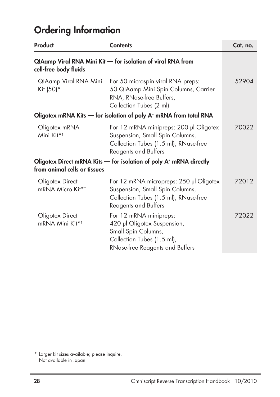| Product                                                                       | <b>Contents</b>                                                                                                                                    | Cat. no. |
|-------------------------------------------------------------------------------|----------------------------------------------------------------------------------------------------------------------------------------------------|----------|
| cell-free body fluids                                                         | QIAamp Viral RNA Mini Kit - for isolation of viral RNA from                                                                                        |          |
| QIAamp Viral RNA Mini<br>Kit (50)*                                            | For 50 microspin viral RNA preps:<br>50 QIAamp Mini Spin Columns, Carrier<br>RNA, RNase-free Buffers,<br>Collection Tubes (2 ml)                   | 52904    |
| Oligotex mRNA Kits — for isolation of poly A <sup>+</sup> mRNA from total RNA |                                                                                                                                                    |          |
| Oligotex mRNA<br>Mini Kit* <sup>†</sup>                                       | For 12 mRNA minipreps: 200 µl Oligotex<br>Suspension, Small Spin Columns,<br>Collection Tubes (1.5 ml), RNase-free<br>Reagents and Buffers         | 70022    |
| from animal cells or tissues                                                  | Oligotex Direct mRNA Kits $-$ for isolation of poly $A+$ mRNA directly                                                                             |          |
| Oligotex Direct<br>mRNA Micro Kit* <sup>†</sup>                               | For 12 mRNA micropreps: 250 µl Oligotex<br>Suspension, Small Spin Columns,<br>Collection Tubes (1.5 ml), RNase-free<br><b>Reagents and Buffers</b> | 72012    |
| Oligotex Direct<br>mRNA Mini Kit* <sup>†</sup>                                | For 12 mRNA minipreps:<br>420 µl Oligotex Suspension,<br>Small Spin Columns,<br>Collection Tubes (1.5 ml),<br>RNase-free Reagents and Buffers      | 72022    |

<sup>\*</sup> Larger kit sizes available; please inquire.

<sup>†</sup> Not available in Japan.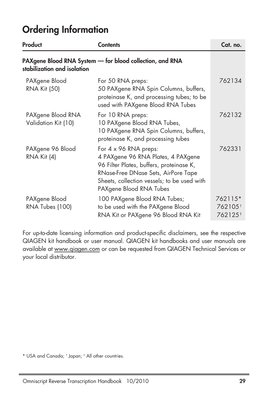| Product                                  | <b>Contents</b>                                                                                                                                                                                                                 | Cat. no.                                 |
|------------------------------------------|---------------------------------------------------------------------------------------------------------------------------------------------------------------------------------------------------------------------------------|------------------------------------------|
| stabilization and isolation              | PAXgene Blood RNA System - for blood collection, and RNA                                                                                                                                                                        |                                          |
| PAXgene Blood<br><b>RNA Kit (50)</b>     | For 50 RNA preps:<br>50 PAXgene RNA Spin Columns, buffers,<br>proteinase K, and processing tubes; to be<br>used with PAXgene Blood RNA Tubes                                                                                    | 762134                                   |
| PAXgene Blood RNA<br>Validation Kit (10) | For 10 RNA preps:<br>10 PAXgene Blood RNA Tubes,<br>10 PAXgene RNA Spin Columns, buffers,<br>proteinase K, and processing tubes                                                                                                 | 762132                                   |
| PAXgene 96 Blood<br>$RNA$ Kit $(4)$      | For $4 \times 96$ RNA preps:<br>4 PAXgene 96 RNA Plates, 4 PAXgene<br>96 Filter Plates, buffers, proteinase K,<br>RNase-Free DNase Sets, AirPore Tape<br>Sheets, collection vessels; to be used with<br>PAXgene Blood RNA Tubes | 762331                                   |
| PAXgene Blood<br>RNA Tubes (100)         | 100 PAXgene Blood RNA Tubes;<br>to be used with the PAXgene Blood<br>RNA Kit or PAXgene 96 Blood RNA Kit                                                                                                                        | 762115*<br>762105<br>762125 <sup>#</sup> |

For up-to-date licensing information and product-specific disclaimers, see the respective QIAGEN kit handbook or user manual. QIAGEN kit handbooks and user manuals are available at www.qiagen.com or can be requested from QIAGEN Technical Services or your local distributor.

\* USA and Canada; † Japan; ‡ All other countries.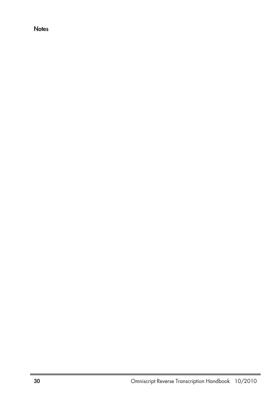**Notes**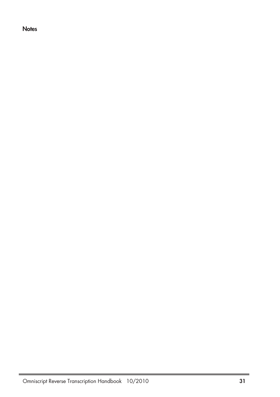**Notes**